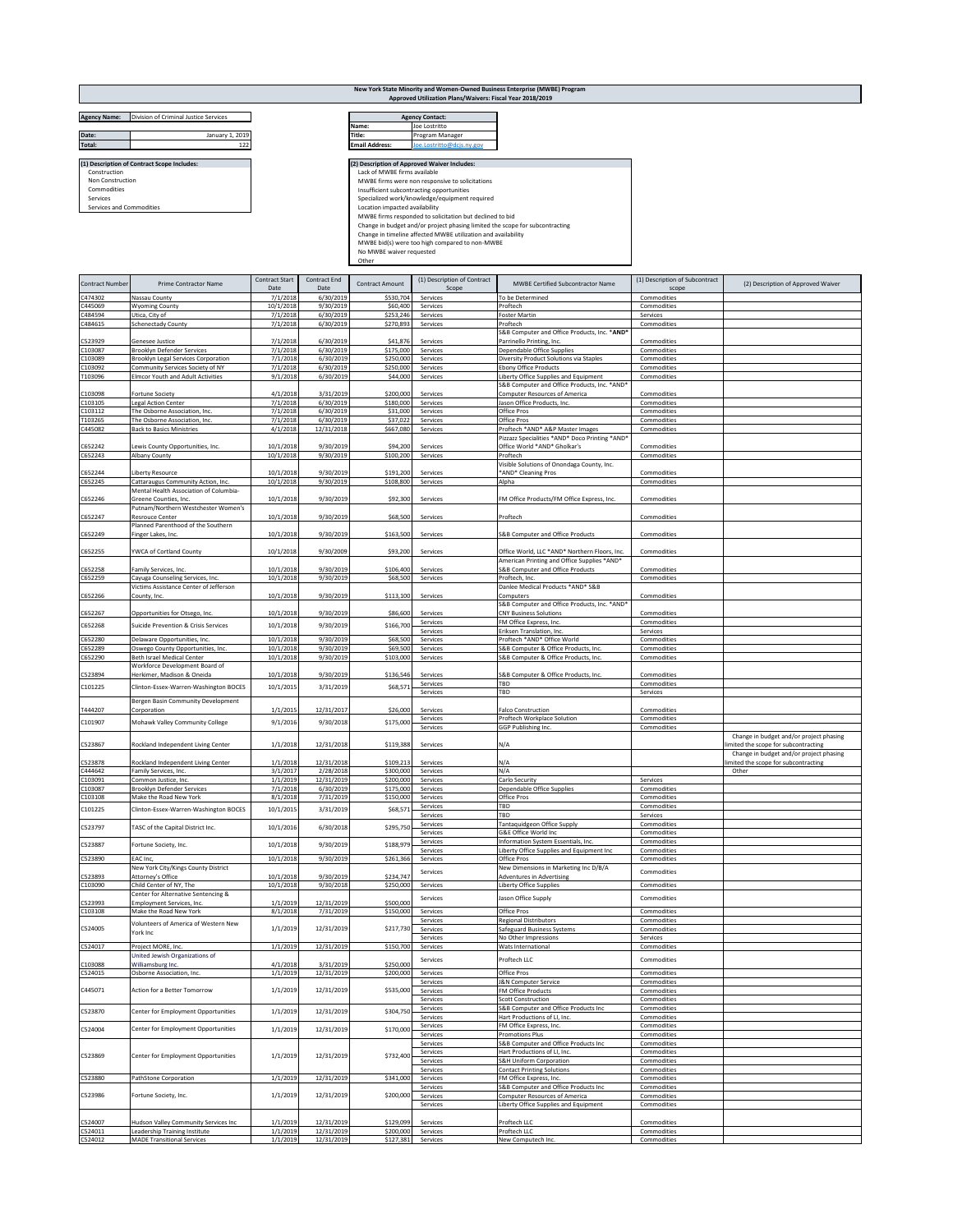|                                      |                                             |                               |                      |                                | Approved Utilization Plans/Waivers: Fiscal Year 2018/2019                    | New York State Minority and Women-Owned Business Enterprise (MWBE) Program |                                         |                                    |
|--------------------------------------|---------------------------------------------|-------------------------------|----------------------|--------------------------------|------------------------------------------------------------------------------|----------------------------------------------------------------------------|-----------------------------------------|------------------------------------|
| <b>Agency Name:</b>                  | Division of Criminal Justice Services       |                               |                      |                                | <b>Agency Contact:</b>                                                       |                                                                            |                                         |                                    |
|                                      | January 1, 2019                             |                               |                      | Name:<br>Title:                | Joe Lostritto                                                                |                                                                            |                                         |                                    |
| Date:<br><b>Total:</b>               | 122                                         |                               |                      | <b>Email Address:</b>          | Program Manager<br>Joe.Lostritto@dcjs.ny.gov                                 |                                                                            |                                         |                                    |
|                                      |                                             |                               |                      |                                |                                                                              |                                                                            |                                         |                                    |
|                                      | (1) Description of Contract Scope Includes: |                               |                      |                                | (2) Description of Approved Waiver Includes:                                 |                                                                            |                                         |                                    |
| Construction                         |                                             |                               |                      | Lack of MWBE firms available   |                                                                              |                                                                            |                                         |                                    |
| Non Construction                     |                                             |                               |                      |                                | MWBE firms were non responsive to solicitations                              |                                                                            |                                         |                                    |
| Commodities                          |                                             |                               |                      |                                | Insufficient subcontracting opportunities                                    |                                                                            |                                         |                                    |
| Services<br>Services and Commodities |                                             |                               |                      |                                | Specialized work/knowledge/equipment required                                |                                                                            |                                         |                                    |
|                                      |                                             |                               |                      | Location impacted availability |                                                                              |                                                                            |                                         |                                    |
|                                      |                                             |                               |                      |                                | MWBE firms responded to solicitation but declined to bid                     |                                                                            |                                         |                                    |
|                                      |                                             |                               |                      |                                | Change in budget and/or project phasing limited the scope for subcontracting |                                                                            |                                         |                                    |
|                                      |                                             |                               |                      |                                | Change in timeline affected MWBE utilization and availability                |                                                                            |                                         |                                    |
|                                      |                                             |                               |                      |                                | MWBE bid(s) were too high compared to non-MWBE                               |                                                                            |                                         |                                    |
|                                      |                                             |                               |                      | No MWBE waiver requested       |                                                                              |                                                                            |                                         |                                    |
|                                      |                                             |                               |                      | Other                          |                                                                              |                                                                            |                                         |                                    |
| <b>Contract Number</b>               | <b>Prime Contractor Name</b>                | <b>Contract Start</b><br>Date | Contract End<br>Date | <b>Contract Amount</b>         | (1) Description of Contract<br>Scope                                         | <b>MWBE Certified Subcontractor Name</b>                                   | (1) Description of Subcontract<br>scope | (2) Description of Approved Waiver |

| C474302            | Nassau County                                                      | 7/1/2018             | 6/30/2019                | \$530,704 | Services             | To be Determined                               | Commodities |                                         |
|--------------------|--------------------------------------------------------------------|----------------------|--------------------------|-----------|----------------------|------------------------------------------------|-------------|-----------------------------------------|
| C445069            | <b>Wyoming County</b>                                              | 10/1/2018            | 9/30/2019                | \$60,400  | Services             | Proftech                                       | Commodities |                                         |
| C484594            | Utica, City of                                                     | 7/1/2018             | 6/30/2019                | \$253,246 | Services             | Foster Martin                                  | Services    |                                         |
| C484615            | <b>Schenectady County</b>                                          | 7/1/2018             | 6/30/2019                | \$270,893 | Services             | Proftech                                       | Commodities |                                         |
|                    |                                                                    |                      |                          |           |                      | S&B Computer and Office Products, Inc. * AND'  |             |                                         |
| C523929            | <b>Genesee Justice</b>                                             | 7/1/2018             | 6/30/2019                | \$41,876  | Services             | Parrinello Printing, Inc.                      | Commodities |                                         |
| C103087            | Brooklyn Defender Services                                         | 7/1/2018             | 6/30/2019                | \$175,000 | Services             | Dependable Office Supplies                     | Commodities |                                         |
| C103089            | Brooklyn Legal Services Corporation                                | 7/1/2018             | 6/30/2019                | \$250,000 | Services             | Diversity Product Solutions via Staples        | Commodities |                                         |
| C103092            | Community Services Society of NY                                   | 7/1/2018             | 6/30/2019                | \$250,000 | Services             | Ebony Office Products                          | Commodities |                                         |
| T103096            |                                                                    | 9/1/2018             | 6/30/2019                | \$44,000  | Services             |                                                | Commodities |                                         |
|                    | <b>Elmcor Youth and Adult Activities</b>                           |                      |                          |           |                      | Liberty Office Supplies and Equipment          |             |                                         |
|                    |                                                                    |                      |                          |           |                      | S&B Computer and Office Products, Inc. *AND'   |             |                                         |
| C103098            | <b>Fortune Society</b>                                             | 4/1/2018             | 3/31/2019                | \$200,000 | Services             | Computer Resources of America                  | Commodities |                                         |
| C103105            | <b>Legal Action Center</b>                                         | 7/1/2018             | 6/30/2019                | \$180,000 | Services             | Jason Office Products, Inc.                    | Commodities |                                         |
| C103112            | The Osborne Association, Inc.                                      | 7/1/2018             | 6/30/2019                | \$31,000  | Services             | Office Pros                                    | Commodities |                                         |
| T103265            | The Osborne Association, Inc                                       | 7/1/2018             | 6/30/2019                | \$37,022  | Services             | Office Pros                                    | Commodities |                                         |
| C445082            | <b>Back to Basics Ministries</b>                                   | 4/1/2018             | 12/31/2018               | \$667,080 | Services             | Proftech *AND* A&P Master Images               | Commodities |                                         |
|                    |                                                                    |                      |                          |           |                      | Pizzazz Specialities *AND* Doco Printing *AND* |             |                                         |
| C652242            | Lewis County Opportunities, Inc.                                   | 10/1/2018            | 9/30/2019                | \$94,200  | Services             | Office World *AND* Gholkar's                   | Commodities |                                         |
|                    |                                                                    |                      |                          |           |                      |                                                |             |                                         |
| C652243            | Albany County                                                      | 10/1/2018            | 9/30/2019                | \$100,200 | Services             | Proftech                                       | Commodities |                                         |
|                    |                                                                    |                      |                          |           |                      | Visible Solutions of Onondaga County, Inc.     |             |                                         |
| C652244            | <b>Liberty Resource</b>                                            | 10/1/2018            | 9/30/2019                | \$191,200 | Services             | *AND* Cleaning Pros                            | Commodities |                                         |
| C652245            | Cattaraugus Community Action, Inc.                                 | 10/1/2018            | 9/30/2019                | \$108,800 | Services             | Alpha                                          | Commodities |                                         |
|                    | Mental Health Association of Columbia-                             |                      |                          |           |                      |                                                |             |                                         |
| C652246            | Greene Counties, Inc.                                              | 10/1/2018            | 9/30/2019                | \$92,300  | Services             | FM Office Products/FM Office Express, Inc.     | Commodities |                                         |
|                    | Putnam/Northern Westchester Women's                                |                      |                          |           |                      |                                                |             |                                         |
| C652247            | <b>Resrouce Center</b>                                             | 10/1/2018            | 9/30/2019                | \$68,500  | Services             | Proftech                                       | Commodities |                                         |
|                    | Planned Parenthood of the Southern                                 |                      |                          |           |                      |                                                |             |                                         |
|                    |                                                                    |                      |                          |           |                      |                                                |             |                                         |
| C652249            | Finger Lakes, Inc.                                                 | 10/1/2018            | 9/30/2019                | \$163,500 | Services             | S&B Computer and Office Products               | Commodities |                                         |
|                    |                                                                    |                      |                          |           |                      |                                                |             |                                         |
| C652255            | YWCA of Cortland County                                            | 10/1/2018            | 9/30/2009                | \$93,200  | Services             | Office World, LLC *AND* Northern Floors, Inc.  | Commodities |                                         |
|                    |                                                                    |                      |                          |           |                      | American Printing and Office Supplies *AND*    |             |                                         |
| C652258            | Family Services, Inc.                                              | 10/1/2018            | 9/30/2019                | \$106,400 | Services             | S&B Computer and Office Products               | Commodities |                                         |
| C652259            | Cayuga Counseling Services, Inc.                                   | 10/1/2018            | 9/30/2019                | \$68,500  | Services             | Proftech, Inc.                                 | Commodities |                                         |
|                    | Victims Assistance Center of Jefferson                             |                      |                          |           |                      | Danlee Medical Products *AND* S&B              |             |                                         |
| C652266            | County, Inc.                                                       | 10/1/2018            | 9/30/2019                | \$113,100 | Services             | Computers                                      | Commodities |                                         |
|                    |                                                                    |                      |                          |           |                      | S&B Computer and Office Products, Inc. *AND*   |             |                                         |
| C652267            | Opportunities for Otsego, Inc.                                     | 10/1/2018            | 9/30/2019                | \$86,600  | Services             | <b>CNY Business Solutions</b>                  | Commodities |                                         |
|                    |                                                                    |                      |                          |           |                      | FM Office Express, Inc.                        |             |                                         |
| C652268            | Suicide Prevention & Crisis Services                               | 10/1/2018            | 9/30/2019                | \$166,700 | Services             |                                                | Commodities |                                         |
|                    |                                                                    |                      |                          |           | Services             | Eriksen Translation, Inc.                      | Services    |                                         |
| C652280            | Delaware Opportunities, Inc.                                       | 10/1/2018            | 9/30/2019                | \$68,500  | Services             | Proftech *AND* Office World                    | Commoditie: |                                         |
| C652289            | Oswego County Opportunities, Inc.                                  | 10/1/2018            | 9/30/2019                | \$69,500  | Services             | S&B Computer & Office Products, Inc            | Commodities |                                         |
| C652290            | Beth Israel Medical Center                                         | 10/1/2018            | 9/30/2019                | \$103,000 | Services             | S&B Computer & Office Products, Inc.           | Commodities |                                         |
|                    | Workforce Development Board of                                     |                      |                          |           |                      |                                                |             |                                         |
| C523894            | Herkimer, Madison & Oneida                                         | 10/1/2018            | 9/30/2019                | \$136,546 | Services             | S&B Computer & Office Products, Inc.           | Commodities |                                         |
|                    |                                                                    |                      |                          |           | Services             | TBD                                            | Commodities |                                         |
| C101225            | Clinton-Essex-Warren-Washington BOCES                              | 10/1/2015            | 3/31/2019                | \$68,571  | Services             | TBD                                            | Services    |                                         |
|                    | Bergen Basin Community Development                                 |                      |                          |           |                      |                                                |             |                                         |
|                    |                                                                    |                      |                          |           |                      |                                                |             |                                         |
| T444207            | Corporation                                                        | 1/1/2015             | 12/31/2017               | \$26,000  | Services             | <b>Falco Construction</b>                      | Commodities |                                         |
| C101907            | Mohawk Valley Community College                                    | 9/1/2016             | 9/30/2018                | \$175,000 | Services             | Proftech Workplace Solution                    | Commodities |                                         |
|                    |                                                                    |                      |                          |           | Services             | GGP Publishing Inc.                            | Commodities |                                         |
|                    |                                                                    |                      |                          |           |                      |                                                |             |                                         |
|                    |                                                                    |                      |                          |           |                      |                                                |             | Change in budget and/or project phasing |
| C523867            | Rockland Independent Living Center                                 | 1/1/2018             | 12/31/2018               | \$119,388 | Services             | N/A                                            |             | imited the scope for subcontracting     |
|                    |                                                                    |                      |                          |           |                      |                                                |             |                                         |
| C523878            |                                                                    | 1/1/2018             | 12/31/2018               | \$109,213 | Services             | N/A                                            |             | Change in budget and/or project phasing |
|                    | Rockland Independent Living Center                                 |                      |                          |           |                      |                                                |             | imited the scope for subcontracting     |
| C444642            | Family Services, Inc.                                              | 3/1/2017             | 2/28/2018                | \$300,000 | Services             | N/A                                            |             | Other                                   |
| C103091            | Common Justice, Inc.                                               | 1/1/2019             | 12/31/2019               | \$200,000 | Services             | Carlo Security                                 | Services    |                                         |
| C103087            | Brooklyn Defender Services                                         | 7/1/2018             | 6/30/2019                | \$175,000 | Services             | Dependable Office Supplies                     | Commodities |                                         |
| C103108            | Make the Road New York                                             | 8/1/2018             | 7/31/2019                | \$150,000 | Services             | Office Pros                                    | Commodities |                                         |
| C101225            | Clinton-Essex-Warren-Washington BOCES                              | 10/1/2015            | 3/31/2019                | \$68,571  | Services             | TBD                                            | Commodities |                                         |
|                    |                                                                    |                      |                          |           | Services             | TBD                                            | Services    |                                         |
|                    |                                                                    |                      |                          |           | Services             | Tantaquidgeon Office Supply                    | Commodities |                                         |
| C523797            | TASC of the Capital District Inc.                                  | 10/1/2016            | 6/30/2018                | \$295,750 | Services             | G&E Office World Inc                           | Commodities |                                         |
|                    |                                                                    |                      |                          |           | Services             | Information System Essentials, Inc.            | Commodities |                                         |
| C523887            | Fortune Society, Inc.                                              | 10/1/2018            | 9/30/2019                | \$188,979 | Services             | Liberty Office Supplies and Equipment Inc.     | Commodities |                                         |
| C523890            | EAC Inc,                                                           | 10/1/2018            | 9/30/2019                | \$261,366 | Services             | Office Pros                                    | Commodities |                                         |
|                    | New York City/Kings County District                                |                      |                          |           |                      | New Dimensions in Marketing Inc D/B/A          |             |                                         |
| C523893            |                                                                    | 10/1/2018            |                          | \$234.747 | Services             | Adventures in Advertising                      | Commodities |                                         |
| C103090            | Attorney's Office<br>Child Center of NY, The                       | 10/1/2018            | 9/30/2019<br>9/30/2018   | \$250,000 | Services             | <b>Liberty Office Supplies</b>                 | Commodities |                                         |
|                    |                                                                    |                      |                          |           |                      |                                                |             |                                         |
|                    | Center for Alternative Sentencing &                                |                      |                          |           | Services             | Jason Office Supply                            | Commodities |                                         |
| C523993            | <b>Employment Services, Inc.</b>                                   | 1/1/2019             | 12/31/2019               | \$500,000 |                      |                                                | Commodities |                                         |
| C103108            | Make the Road New York                                             | 8/1/2018             | 7/31/2019                | \$150,000 | Services             | Office Pros                                    |             |                                         |
|                    | Volunteers of America of Western New                               |                      |                          |           | Services             | <b>Regional Distributors</b>                   | Commodities |                                         |
| C524005            | York Inc                                                           | 1/1/2019             | 12/31/2019               | \$217,730 | Services             | Safeguard Business Systems                     | Commodities |                                         |
|                    |                                                                    |                      |                          |           | Services             | No Other Impressions                           | Services    |                                         |
| C524017            | Project MORE, Inc.                                                 | 1/1/2019             | 12/31/2019               | \$150,700 | Services             | Wats International                             | Commodities |                                         |
|                    | United Jewish Organizations of                                     |                      |                          |           |                      |                                                |             |                                         |
| C103088            | Williamsburg Inc.                                                  | 4/1/2018             | 3/31/2019                | \$250,000 | Services             | Proftech LLC                                   | Commodities |                                         |
| C524015            | Osborne Association, Inc.                                          | 1/1/2019             | 12/31/2019               | \$200,000 | Services             | Office Pros                                    | Commodities |                                         |
|                    |                                                                    |                      |                          |           | Services             | J&N Computer Service                           | Commodities |                                         |
| 445071             | ction for a Better Tomorrow                                        | 1/1/201              | 12/31/2019               | 3333,UUI  | Services             | FM Office Products                             | Commodities |                                         |
|                    |                                                                    |                      |                          |           | Services             | <b>Scott Construction</b>                      | Commodities |                                         |
|                    |                                                                    |                      |                          |           | Services             | S&B Computer and Office Products Inc           | Commodities |                                         |
| C523870            | Center for Employment Opportunities                                | 1/1/2019             | 12/31/2019               | \$304,750 | Services             | Hart Productions of LI, Inc.                   | Commodities |                                         |
|                    |                                                                    |                      |                          |           |                      |                                                |             |                                         |
| C524004            | Center for Employment Opportunities                                | 1/1/2019             | 12/31/2019               | \$170,000 | Services             | FM Office Express, Inc.                        | Commodities |                                         |
|                    |                                                                    |                      |                          |           | Services             | Promotions Plus                                | Commodities |                                         |
|                    |                                                                    |                      |                          |           | Services             | S&B Computer and Office Products Inc.          | Commodities |                                         |
| C523869            | Center for Employment Opportunities                                | 1/1/2019             | 12/31/2019               | \$732,400 | Services             | Hart Productions of LI, Inc.                   | Commodities |                                         |
|                    |                                                                    |                      |                          |           | Services             | S&H Uniform Corporation                        | Commodities |                                         |
|                    |                                                                    |                      |                          |           | Services             | <b>Contact Printing Solutions</b>              | Commodities |                                         |
| C523880            | PathStone Corporation                                              | 1/1/2019             | 12/31/2019               | \$341,000 | Services             | FM Office Express, Inc.                        | Commodities |                                         |
|                    |                                                                    |                      |                          |           | Services             | S&B Computer and Office Products Inc.          | Commodities |                                         |
| C523986            | Fortune Society, Inc.                                              | 1/1/2019             | 12/31/2019               | \$200,000 | Services             | <b>Computer Resources of America</b>           | Commodities |                                         |
|                    |                                                                    |                      |                          |           | Services             | Liberty Office Supplies and Equipment          | Commodities |                                         |
|                    |                                                                    |                      |                          |           |                      |                                                |             |                                         |
|                    |                                                                    |                      |                          | \$129,099 | Services             | Proftech LLC                                   | Commodities |                                         |
| C524007            | Hudson Valley Community Services Inc                               | 1/1/2019<br>1/1/2019 | 12/31/2019               | \$200,000 |                      | Proftech LLC                                   | Commodities |                                         |
| C524011<br>C524012 | Leadership Training Institute<br><b>MADE Transitional Services</b> | 1/1/2019             | 12/31/2019<br>12/31/2019 | \$127,381 | Services<br>Services | New Computech Inc.                             | Commodities |                                         |